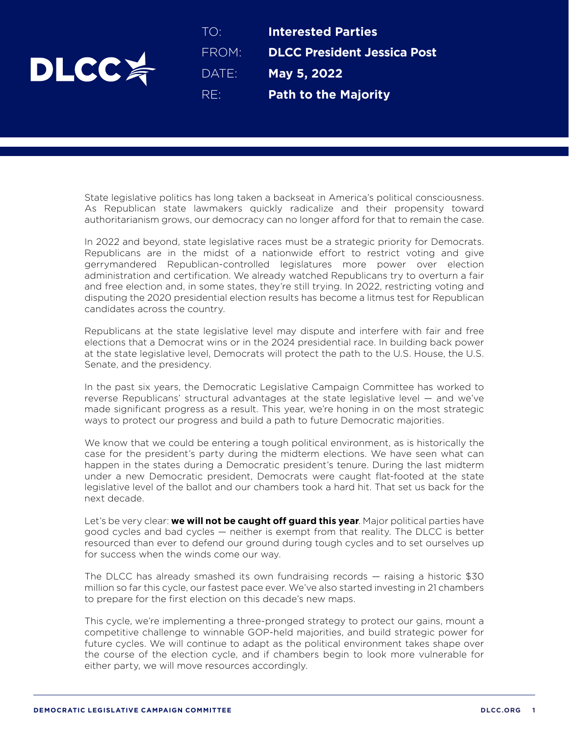

TO: **Interested Parties** FROM: **DLCC President Jessica Post** DATE: **May 5, 2022**  RE: **Path to the Majority**

State legislative politics has long taken a backseat in America's political consciousness. As Republican state lawmakers quickly radicalize and their propensity toward authoritarianism grows, our democracy can no longer afford for that to remain the case.

In 2022 and beyond, state legislative races must be a strategic priority for Democrats. Republicans are in the midst of a nationwide effort to restrict voting and give gerrymandered Republican-controlled legislatures more power over election administration and certification. We already watched Republicans try to overturn a fair and free election and, in some states, they're still trying. In 2022, restricting voting and disputing the 2020 presidential election results has become a litmus test for Republican candidates across the country.

Republicans at the state legislative level may dispute and interfere with fair and free elections that a Democrat wins or in the 2024 presidential race. In building back power at the state legislative level, Democrats will protect the path to the U.S. House, the U.S. Senate, and the presidency.

In the past six years, the Democratic Legislative Campaign Committee has worked to reverse Republicans' structural advantages at the state legislative level — and we've made significant progress as a result. This year, we're honing in on the most strategic ways to protect our progress and build a path to future Democratic majorities.

We know that we could be entering a tough political environment, as is historically the case for the president's party during the midterm elections. We have seen what can happen in the states during a Democratic president's tenure. During the last midterm under a new Democratic president, Democrats were caught flat-footed at the state legislative level of the ballot and our chambers took a hard hit. That set us back for the next decade.

Let's be very clear: **we will not be caught off guard this year**. Major political parties have good cycles and bad cycles — neither is exempt from that reality. The DLCC is better resourced than ever to defend our ground during tough cycles and to set ourselves up for success when the winds come our way.

The DLCC has already smashed its own fundraising records — raising a historic \$30 million so far this cycle, our fastest pace ever. We've also started investing in 21 chambers to prepare for the first election on this decade's new maps.

This cycle, we're implementing a three-pronged strategy to protect our gains, mount a competitive challenge to winnable GOP-held majorities, and build strategic power for future cycles. We will continue to adapt as the political environment takes shape over the course of the election cycle, and if chambers begin to look more vulnerable for either party, we will move resources accordingly.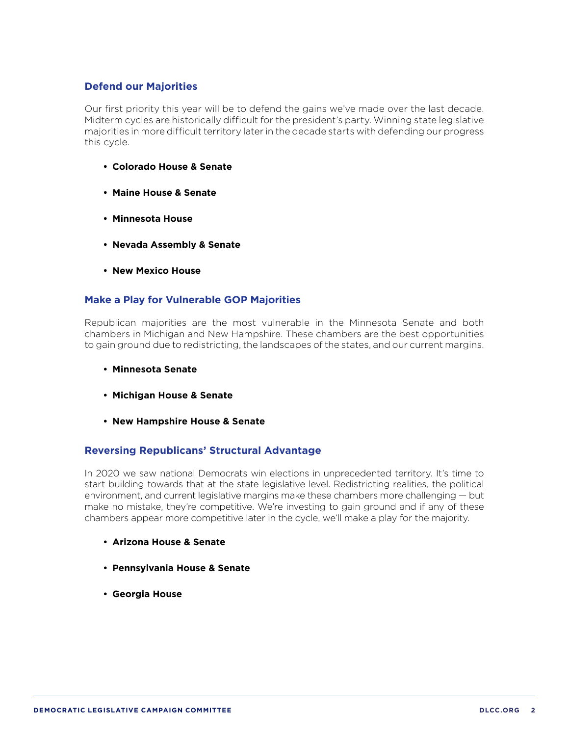## **Defend our Majorities**

Our first priority this year will be to defend the gains we've made over the last decade. Midterm cycles are historically difficult for the president's party. Winning state legislative majorities in more difficult territory later in the decade starts with defending our progress this cycle.

- **• Colorado House & Senate**
- **• Maine House & Senate**
- **• Minnesota House**
- **• Nevada Assembly & Senate**
- **• New Mexico House**

## **Make a Play for Vulnerable GOP Majorities**

Republican majorities are the most vulnerable in the Minnesota Senate and both chambers in Michigan and New Hampshire. These chambers are the best opportunities to gain ground due to redistricting, the landscapes of the states, and our current margins.

- **• Minnesota Senate**
- **• Michigan House & Senate**
- **• New Hampshire House & Senate**

## **Reversing Republicans' Structural Advantage**

In 2020 we saw national Democrats win elections in unprecedented territory. It's time to start building towards that at the state legislative level. Redistricting realities, the political environment, and current legislative margins make these chambers more challenging — but make no mistake, they're competitive. We're investing to gain ground and if any of these chambers appear more competitive later in the cycle, we'll make a play for the majority.

- **• Arizona House & Senate**
- **• Pennsylvania House & Senate**
- **• Georgia House**